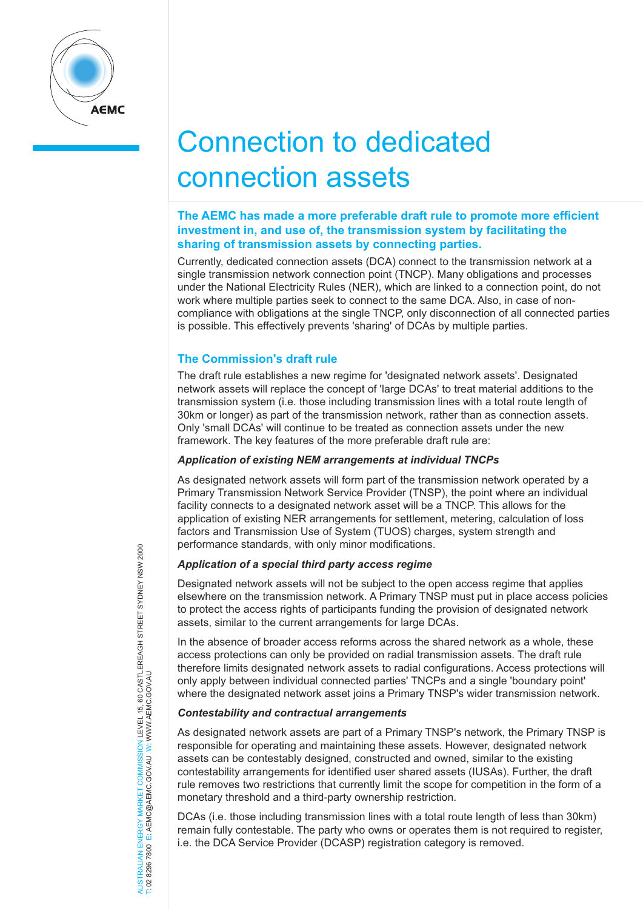

# Connection to dedicated connection assets

# **The AEMC has made a more preferable draft rule to promote more efficient investment in, and use of, the transmission system by facilitating the sharing of transmission assets by connecting parties.**

Currently, dedicated connection assets (DCA) connect to the transmission network at a single transmission network connection point (TNCP). Many obligations and processes under the National Electricity Rules (NER), which are linked to a connection point, do not work where multiple parties seek to connect to the same DCA. Also, in case of noncompliance with obligations at the single TNCP, only disconnection of all connected parties is possible. This effectively prevents 'sharing' of DCAs by multiple parties.

# **The Commission's draft rule**

The draft rule establishes a new regime for 'designated network assets'. Designated network assets will replace the concept of 'large DCAs' to treat material additions to the transmission system (i.e. those including transmission lines with a total route length of 30km or longer) as part of the transmission network, rather than as connection assets. Only 'small DCAs' will continue to be treated as connection assets under the new framework. The key features of the more preferable draft rule are:

# *Application of existing NEM arrangements at individual TNCPs*

As designated network assets will form part of the transmission network operated by a Primary Transmission Network Service Provider (TNSP), the point where an individual facility connects to a designated network asset will be a TNCP. This allows for the application of existing NER arrangements for settlement, metering, calculation of loss factors and Transmission Use of System (TUOS) charges, system strength and performance standards, with only minor modifications.

# *Application of a special third party access regime*

Designated network assets will not be subject to the open access regime that applies elsewhere on the transmission network. A Primary TNSP must put in place access policies to protect the access rights of participants funding the provision of designated network assets, similar to the current arrangements for large DCAs.

In the absence of broader access reforms across the shared network as a whole, these access protections can only be provided on radial transmission assets. The draft rule therefore limits designated network assets to radial configurations. Access protections will only apply between individual connected parties' TNCPs and a single 'boundary point' where the designated network asset joins a Primary TNSP's wider transmission network.

# *Contestability and contractual arrangements*

As designated network assets are part of a Primary TNSP's network, the Primary TNSP is responsible for operating and maintaining these assets. However, designated network assets can be contestably designed, constructed and owned, similar to the existing contestability arrangements for identified user shared assets (IUSAs). Further, the draft rule removes two restrictions that currently limit the scope for competition in the form of a monetary threshold and a third-party ownership restriction.

DCAs (i.e. those including transmission lines with a total route length of less than 30km) remain fully contestable. The party who owns or operates them is not required to register, i.e. the DCA Service Provider (DCASP) registration category is removed.

# NERGY MARKET COMMISSION LEVEL 15, 60 CASTLEREAGH STREET SYDNEY NSW 2000<br>E: AEMC@AEMC.GOV.AU W: WWW.AEMC.GOV.AU AUSTRALIAN ENERGY MARKET COMMISSION LEVEL 15, 60 CASTLEREAGH STREET SYDNEY NSW 2000 T: 02 8296 7800 E: AEMC@AEMC.GOV.AU W: WWW.AEMC.GOV.AU AUSTRALIAN ENERGY MARKET T: 02 8296 7800